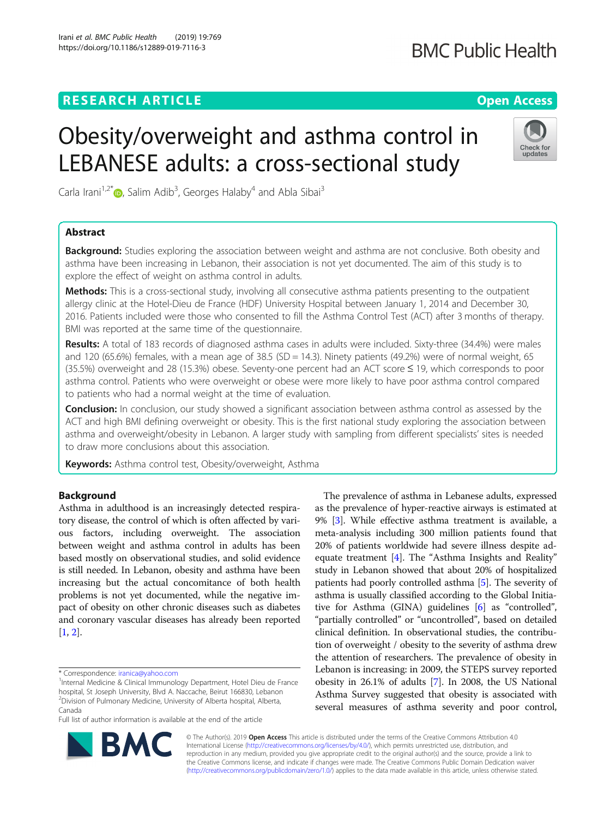### **RESEARCH ARTICLE Example 2014 12:30 The Open Access**

# **BMC Public Health**

Check for undates

# Obesity/overweight and asthma control in LEBANESE adults: a cross-sectional study

Carla Irani<sup>1[,](http://orcid.org/0000-0002-7706-3910)2\*</sup>®, Salim Adib<sup>3</sup>, Georges Halaby<sup>4</sup> and Abla Sibai<sup>3</sup>

### Abstract

**Background:** Studies exploring the association between weight and asthma are not conclusive. Both obesity and asthma have been increasing in Lebanon, their association is not yet documented. The aim of this study is to explore the effect of weight on asthma control in adults.

**Methods:** This is a cross-sectional study, involving all consecutive asthma patients presenting to the outpatient allergy clinic at the Hotel-Dieu de France (HDF) University Hospital between January 1, 2014 and December 30, 2016. Patients included were those who consented to fill the Asthma Control Test (ACT) after 3 months of therapy. BMI was reported at the same time of the questionnaire.

Results: A total of 183 records of diagnosed asthma cases in adults were included. Sixty-three (34.4%) were males and 120 (65.6%) females, with a mean age of 38.5 (SD = 14.3). Ninety patients (49.2%) were of normal weight, 65 (35.5%) overweight and 28 (15.3%) obese. Seventy-one percent had an ACT score ≤ 19, which corresponds to poor asthma control. Patients who were overweight or obese were more likely to have poor asthma control compared to patients who had a normal weight at the time of evaluation.

**Conclusion:** In conclusion, our study showed a significant association between asthma control as assessed by the ACT and high BMI defining overweight or obesity. This is the first national study exploring the association between asthma and overweight/obesity in Lebanon. A larger study with sampling from different specialists' sites is needed to draw more conclusions about this association.

Keywords: Asthma control test, Obesity/overweight, Asthma

#### Background

Asthma in adulthood is an increasingly detected respiratory disease, the control of which is often affected by various factors, including overweight. The association between weight and asthma control in adults has been based mostly on observational studies, and solid evidence is still needed. In Lebanon, obesity and asthma have been increasing but the actual concomitance of both health problems is not yet documented, while the negative impact of obesity on other chronic diseases such as diabetes and coronary vascular diseases has already been reported [[1,](#page-5-0) [2](#page-5-0)].

Full list of author information is available at the end of the article





© The Author(s). 2019 Open Access This article is distributed under the terms of the Creative Commons Attribution 4.0 International License [\(http://creativecommons.org/licenses/by/4.0/](http://creativecommons.org/licenses/by/4.0/)), which permits unrestricted use, distribution, and reproduction in any medium, provided you give appropriate credit to the original author(s) and the source, provide a link to the Creative Commons license, and indicate if changes were made. The Creative Commons Public Domain Dedication waiver [\(http://creativecommons.org/publicdomain/zero/1.0/](http://creativecommons.org/publicdomain/zero/1.0/)) applies to the data made available in this article, unless otherwise stated.

<sup>\*</sup> Correspondence: [iranica@yahoo.com](mailto:iranica@yahoo.com) <sup>1</sup>

<sup>&</sup>lt;sup>1</sup>Internal Medicine & Clinical Immunology Department, Hotel Dieu de France hospital, St Joseph University, Blvd A. Naccache, Beirut 166830, Lebanon 2 Division of Pulmonary Medicine, University of Alberta hospital, Alberta, Canada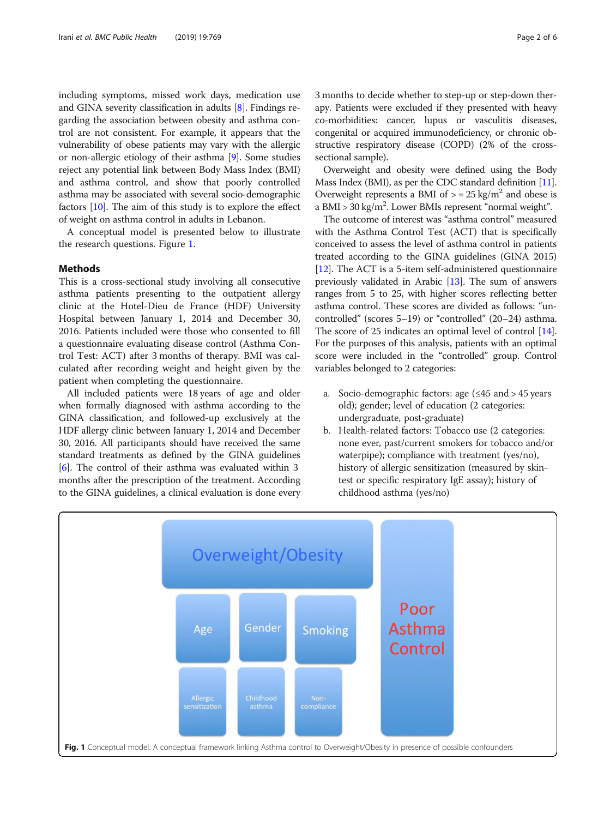including symptoms, missed work days, medication use and GINA severity classification in adults [\[8](#page-5-0)]. Findings regarding the association between obesity and asthma control are not consistent. For example, it appears that the vulnerability of obese patients may vary with the allergic or non-allergic etiology of their asthma [[9](#page-5-0)]. Some studies reject any potential link between Body Mass Index (BMI) and asthma control, and show that poorly controlled asthma may be associated with several socio-demographic factors [[10](#page-5-0)]. The aim of this study is to explore the effect of weight on asthma control in adults in Lebanon.

A conceptual model is presented below to illustrate the research questions. Figure 1.

#### **Methods**

This is a cross-sectional study involving all consecutive asthma patients presenting to the outpatient allergy clinic at the Hotel-Dieu de France (HDF) University Hospital between January 1, 2014 and December 30, 2016. Patients included were those who consented to fill a questionnaire evaluating disease control (Asthma Control Test: ACT) after 3 months of therapy. BMI was calculated after recording weight and height given by the patient when completing the questionnaire.

All included patients were 18 years of age and older when formally diagnosed with asthma according to the GINA classification, and followed-up exclusively at the HDF allergy clinic between January 1, 2014 and December 30, 2016. All participants should have received the same standard treatments as defined by the GINA guidelines [[6\]](#page-5-0). The control of their asthma was evaluated within 3 months after the prescription of the treatment. According to the GINA guidelines, a clinical evaluation is done every 3 months to decide whether to step-up or step-down therapy. Patients were excluded if they presented with heavy co-morbidities: cancer, lupus or vasculitis diseases, congenital or acquired immunodeficiency, or chronic obstructive respiratory disease (COPD) (2% of the crosssectional sample).

Overweight and obesity were defined using the Body Mass Index (BMI), as per the CDC standard definition [\[11](#page-5-0)]. Overweight represents a BMI of  $>$  = 25 kg/m<sup>2</sup> and obese is a BMI > 30 kg/m<sup>2</sup>. Lower BMIs represent "normal weight".

The outcome of interest was "asthma control" measured with the Asthma Control Test (ACT) that is specifically conceived to assess the level of asthma control in patients treated according to the GINA guidelines (GINA 2015) [[12](#page-5-0)]. The ACT is a 5-item self-administered questionnaire previously validated in Arabic [[13\]](#page-5-0). The sum of answers ranges from 5 to 25, with higher scores reflecting better asthma control. These scores are divided as follows: "uncontrolled" (scores 5–19) or "controlled" (20–24) asthma. The score of 25 indicates an optimal level of control [[14](#page-5-0)]. For the purposes of this analysis, patients with an optimal score were included in the "controlled" group. Control variables belonged to 2 categories:

- a. Socio-demographic factors: age  $(\leq 45$  and  $> 45$  years old); gender; level of education (2 categories: undergraduate, post-graduate)
- b. Health-related factors: Tobacco use (2 categories: none ever, past/current smokers for tobacco and/or waterpipe); compliance with treatment (yes/no), history of allergic sensitization (measured by skintest or specific respiratory IgE assay); history of childhood asthma (yes/no)

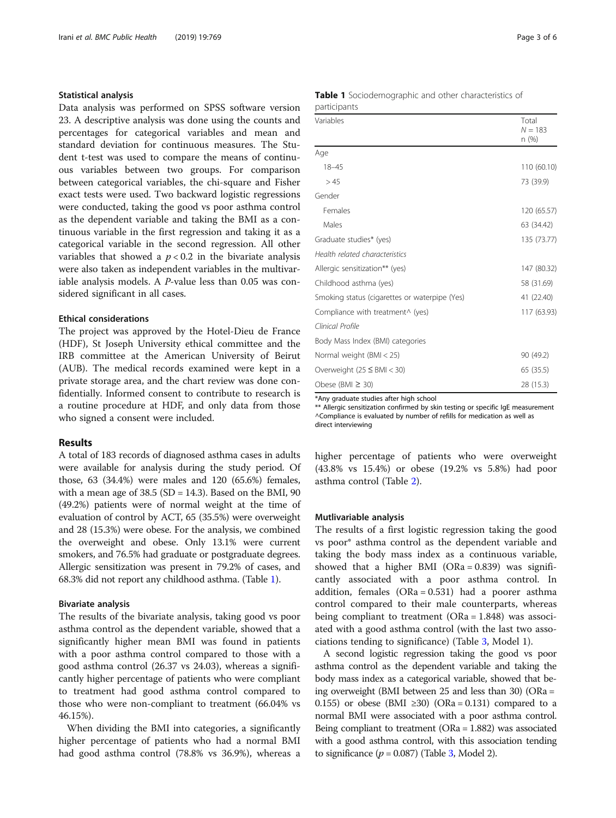#### Statistical analysis

Data analysis was performed on SPSS software version 23. A descriptive analysis was done using the counts and percentages for categorical variables and mean and standard deviation for continuous measures. The Student t-test was used to compare the means of continuous variables between two groups. For comparison between categorical variables, the chi-square and Fisher exact tests were used. Two backward logistic regressions were conducted, taking the good vs poor asthma control as the dependent variable and taking the BMI as a continuous variable in the first regression and taking it as a categorical variable in the second regression. All other variables that showed a  $p < 0.2$  in the bivariate analysis were also taken as independent variables in the multivariable analysis models. A P-value less than 0.05 was considered significant in all cases.

#### Ethical considerations

The project was approved by the Hotel-Dieu de France (HDF), St Joseph University ethical committee and the IRB committee at the American University of Beirut (AUB). The medical records examined were kept in a private storage area, and the chart review was done confidentially. Informed consent to contribute to research is a routine procedure at HDF, and only data from those who signed a consent were included.

#### Results

A total of 183 records of diagnosed asthma cases in adults were available for analysis during the study period. Of those, 63 (34.4%) were males and 120 (65.6%) females, with a mean age of  $38.5$  (SD = 14.3). Based on the BMI, 90 (49.2%) patients were of normal weight at the time of evaluation of control by ACT, 65 (35.5%) were overweight and 28 (15.3%) were obese. For the analysis, we combined the overweight and obese. Only 13.1% were current smokers, and 76.5% had graduate or postgraduate degrees. Allergic sensitization was present in 79.2% of cases, and 68.3% did not report any childhood asthma. (Table 1).

#### Bivariate analysis

The results of the bivariate analysis, taking good vs poor asthma control as the dependent variable, showed that a significantly higher mean BMI was found in patients with a poor asthma control compared to those with a good asthma control (26.37 vs 24.03), whereas a significantly higher percentage of patients who were compliant to treatment had good asthma control compared to those who were non-compliant to treatment (66.04% vs 46.15%).

When dividing the BMI into categories, a significantly higher percentage of patients who had a normal BMI had good asthma control (78.8% vs 36.9%), whereas a

| Page 3 of 6 |  |
|-------------|--|
|-------------|--|

|              | <b>Table 1</b> Sociodemographic and other characteristics of |  |
|--------------|--------------------------------------------------------------|--|
| participants |                                                              |  |

| Variables                                     | Total<br>$N = 183$<br>n (%) |  |
|-----------------------------------------------|-----------------------------|--|
| Age                                           |                             |  |
| $18 - 45$                                     | 110 (60.10)                 |  |
| > 45                                          | 73 (39.9)                   |  |
| Gender                                        |                             |  |
| Females                                       | 120 (65.57)                 |  |
| Males                                         | 63 (34.42)                  |  |
| Graduate studies* (yes)                       | 135 (73.77)                 |  |
| Health related characteristics                |                             |  |
| Allergic sensitization** (yes)                | 147 (80.32)                 |  |
| Childhood asthma (yes)                        | 58 (31.69)                  |  |
| Smoking status (cigarettes or waterpipe (Yes) | 41 (22.40)                  |  |
| Compliance with treatment^ (yes)              | 117 (63.93)                 |  |
| Clinical Profile                              |                             |  |
| Body Mass Index (BMI) categories              |                             |  |
| Normal weight $(BMI < 25)$                    | 90 (49.2)                   |  |
| Overweight $(25 \leq BMI < 30)$               | 65 (35.5)                   |  |
| Obese (BMI $\geq$ 30)                         | 28 (15.3)                   |  |

\*Any graduate studies after high school

\*\* Allergic sensitization confirmed by skin testing or specific IgE measurement ^Compliance is evaluated by number of refills for medication as well as direct interviewing

higher percentage of patients who were overweight (43.8% vs 15.4%) or obese (19.2% vs 5.8%) had poor asthma control (Table [2\)](#page-3-0).

#### Mutlivariable analysis

The results of a first logistic regression taking the good vs poor\* asthma control as the dependent variable and taking the body mass index as a continuous variable, showed that a higher BMI  $(ORa = 0.839)$  was significantly associated with a poor asthma control. In addition, females (ORa = 0.531) had a poorer asthma control compared to their male counterparts, whereas being compliant to treatment (ORa = 1.848) was associated with a good asthma control (with the last two associations tending to significance) (Table [3,](#page-3-0) Model 1).

A second logistic regression taking the good vs poor asthma control as the dependent variable and taking the body mass index as a categorical variable, showed that being overweight (BMI between 25 and less than 30) (ORa = 0.155) or obese (BMI  $\geq$ 30) (ORa = 0.131) compared to a normal BMI were associated with a poor asthma control. Being compliant to treatment (ORa = 1.882) was associated with a good asthma control, with this association tending to significance  $(p = 0.087)$  (Table [3](#page-3-0), Model 2).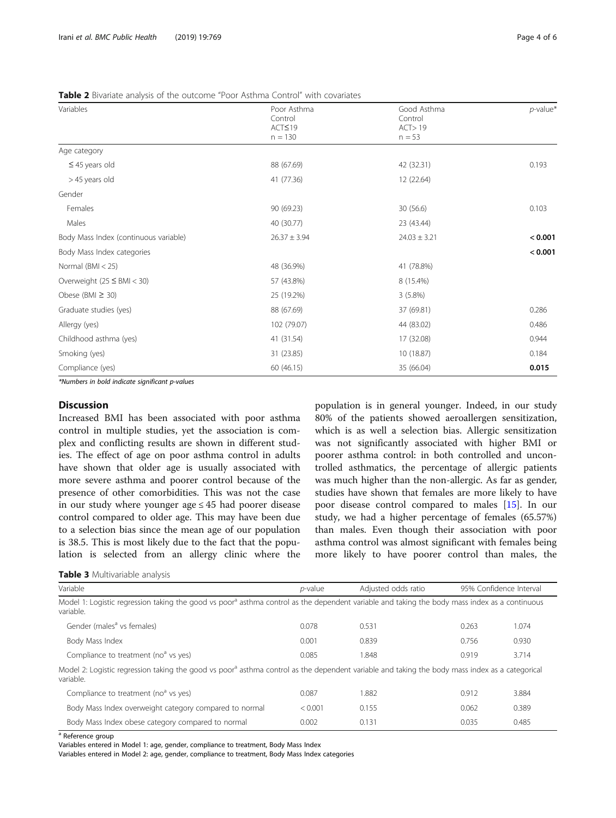| Variables                             | Poor Asthma      | Good Asthma      | $p$ -value* |
|---------------------------------------|------------------|------------------|-------------|
|                                       | Control          | Control          |             |
|                                       | ACT≤19           | ACT > 19         |             |
|                                       | $n = 130$        | $n = 53$         |             |
| Age category                          |                  |                  |             |
| $\leq$ 45 years old                   | 88 (67.69)       | 42 (32.31)       | 0.193       |
| > 45 years old                        | 41 (77.36)       | 12 (22.64)       |             |
| Gender                                |                  |                  |             |
| Females                               | 90 (69.23)       | 30 (56.6)        | 0.103       |
| Males                                 | 40 (30.77)       | 23 (43.44)       |             |
| Body Mass Index (continuous variable) | $26.37 \pm 3.94$ | $24.03 \pm 3.21$ | < 0.001     |
| Body Mass Index categories            |                  |                  | < 0.001     |
| Normal $(BMI < 25)$                   | 48 (36.9%)       | 41 (78.8%)       |             |
| Overweight $(25 \leq BMI < 30)$       | 57 (43.8%)       | 8 (15.4%)        |             |
| Obese (BMI $\geq$ 30)                 | 25 (19.2%)       | 3(5.8%)          |             |
| Graduate studies (yes)                | 88 (67.69)       | 37 (69.81)       | 0.286       |
| Allergy (yes)                         | 102 (79.07)      | 44 (83.02)       | 0.486       |
| Childhood asthma (yes)                | 41 (31.54)       | 17 (32.08)       | 0.944       |
| Smoking (yes)                         | 31 (23.85)       | 10 (18.87)       | 0.184       |
| Compliance (yes)                      | 60 (46.15)       | 35 (66.04)       | 0.015       |

<span id="page-3-0"></span>Table 2 Bivariate analysis of the outcome "Poor Asthma Control" with covariates

\*Numbers in bold indicate significant p-values

#### **Discussion**

Increased BMI has been associated with poor asthma control in multiple studies, yet the association is complex and conflicting results are shown in different studies. The effect of age on poor asthma control in adults have shown that older age is usually associated with more severe asthma and poorer control because of the presence of other comorbidities. This was not the case in our study where younger age  $\leq$  45 had poorer disease control compared to older age. This may have been due to a selection bias since the mean age of our population is 38.5. This is most likely due to the fact that the population is selected from an allergy clinic where the

population is in general younger. Indeed, in our study 80% of the patients showed aeroallergen sensitization, which is as well a selection bias. Allergic sensitization was not significantly associated with higher BMI or poorer asthma control: in both controlled and uncontrolled asthmatics, the percentage of allergic patients was much higher than the non-allergic. As far as gender, studies have shown that females are more likely to have poor disease control compared to males [[15\]](#page-5-0). In our study, we had a higher percentage of females (65.57%) than males. Even though their association with poor asthma control was almost significant with females being more likely to have poorer control than males, the

|  |  | Table 3 Multivariable analysis |  |
|--|--|--------------------------------|--|
|--|--|--------------------------------|--|

Variable **1988** Confidence Interval **p-value** Adjusted odds ratio 95% Confidence Interval Model 1: Logistic regression taking the good vs poor<sup>a</sup> asthma control as the dependent variable and taking the body mass index as a continuous variable. Gender (males<sup>a</sup> vs females) **0.078** 0.531 0.263 1.074 Body Mass Index 0.001 0.839 0.756 0.930 Compliance to treatment (no<sup>a</sup> vs yes) 0.085 1.848 0.919 3.714 Model 2: Logistic regression taking the good vs poor<sup>a</sup> asthma control as the dependent variable and taking the body mass index as a categorical variable. Compliance to treatment (no<sup>a</sup> vs yes) 0.087 1.882 0.912 3.884 Body Mass Index overweight category compared to normal  $\leq 0.001$  0.155 0.062 0.389 Body Mass Index obese category compared to normal and  $0.002$  0.131 0.035 0.035 0.485

<sup>a</sup> Reference group

Variables entered in Model 1: age, gender, compliance to treatment, Body Mass Index

Variables entered in Model 2: age, gender, compliance to treatment, Body Mass Index categories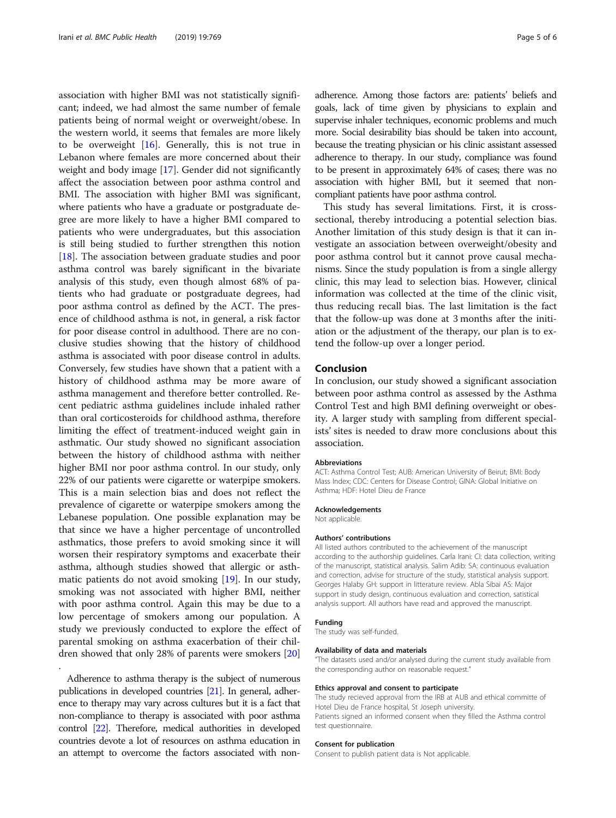association with higher BMI was not statistically significant; indeed, we had almost the same number of female patients being of normal weight or overweight/obese. In the western world, it seems that females are more likely to be overweight [[16\]](#page-5-0). Generally, this is not true in Lebanon where females are more concerned about their weight and body image [[17\]](#page-5-0). Gender did not significantly affect the association between poor asthma control and BMI. The association with higher BMI was significant, where patients who have a graduate or postgraduate degree are more likely to have a higher BMI compared to patients who were undergraduates, but this association is still being studied to further strengthen this notion [[18\]](#page-5-0). The association between graduate studies and poor asthma control was barely significant in the bivariate analysis of this study, even though almost 68% of patients who had graduate or postgraduate degrees, had poor asthma control as defined by the ACT. The presence of childhood asthma is not, in general, a risk factor for poor disease control in adulthood. There are no conclusive studies showing that the history of childhood asthma is associated with poor disease control in adults. Conversely, few studies have shown that a patient with a history of childhood asthma may be more aware of asthma management and therefore better controlled. Recent pediatric asthma guidelines include inhaled rather than oral corticosteroids for childhood asthma, therefore limiting the effect of treatment-induced weight gain in asthmatic. Our study showed no significant association between the history of childhood asthma with neither higher BMI nor poor asthma control. In our study, only 22% of our patients were cigarette or waterpipe smokers. This is a main selection bias and does not reflect the prevalence of cigarette or waterpipe smokers among the Lebanese population. One possible explanation may be that since we have a higher percentage of uncontrolled asthmatics, those prefers to avoid smoking since it will worsen their respiratory symptoms and exacerbate their asthma, although studies showed that allergic or asthmatic patients do not avoid smoking [\[19](#page-5-0)]. In our study, smoking was not associated with higher BMI, neither with poor asthma control. Again this may be due to a low percentage of smokers among our population. A study we previously conducted to explore the effect of parental smoking on asthma exacerbation of their children showed that only 28% of parents were smokers [[20](#page-5-0)]

Adherence to asthma therapy is the subject of numerous publications in developed countries [[21\]](#page-5-0). In general, adherence to therapy may vary across cultures but it is a fact that non-compliance to therapy is associated with poor asthma control [[22\]](#page-5-0). Therefore, medical authorities in developed countries devote a lot of resources on asthma education in an attempt to overcome the factors associated with non-

.

adherence. Among those factors are: patients' beliefs and goals, lack of time given by physicians to explain and supervise inhaler techniques, economic problems and much more. Social desirability bias should be taken into account, because the treating physician or his clinic assistant assessed adherence to therapy. In our study, compliance was found to be present in approximately 64% of cases; there was no association with higher BMI, but it seemed that noncompliant patients have poor asthma control.

This study has several limitations. First, it is crosssectional, thereby introducing a potential selection bias. Another limitation of this study design is that it can investigate an association between overweight/obesity and poor asthma control but it cannot prove causal mechanisms. Since the study population is from a single allergy clinic, this may lead to selection bias. However, clinical information was collected at the time of the clinic visit, thus reducing recall bias. The last limitation is the fact that the follow-up was done at 3 months after the initiation or the adjustment of the therapy, our plan is to extend the follow-up over a longer period.

#### Conclusion

In conclusion, our study showed a significant association between poor asthma control as assessed by the Asthma Control Test and high BMI defining overweight or obesity. A larger study with sampling from different specialists' sites is needed to draw more conclusions about this association.

#### Abbreviations

ACT: Asthma Control Test; AUB: American University of Beirut; BMI: Body Mass Index; CDC: Centers for Disease Control; GINA: Global Initiative on Asthma; HDF: Hotel Dieu de France

#### Acknowledgements

Not applicable.

#### Authors' contributions

All listed authors contributed to the achievement of the manuscript according to the authorship guidelines. Carla Irani: CI: data collection, writing of the manuscript, statistical analysis. Salim Adib: SA: continuous evaluation and correction, advise for structure of the study, statistical analysis support. Georges Halaby GH: support in litterature review. Abla Sibai AS: Major support in study design, continuous evaluation and correction, satistical analysis support. All authors have read and approved the manuscript.

#### Funding

The study was self-funded.

#### Availability of data and materials

"The datasets used and/or analysed during the current study available from the corresponding author on reasonable request."

#### Ethics approval and consent to participate

The study recieved approval from the IRB at AUB and ethical committe of Hotel Dieu de France hospital, St Joseph university. Patients signed an informed consent when they filled the Asthma control test questionnaire.

#### Consent for publication

Consent to publish patient data is Not applicable.